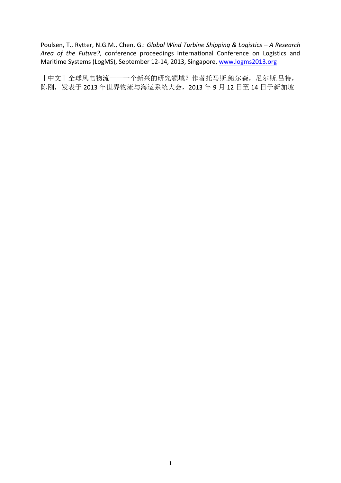Poulsen, T., Rytter, N.G.M., Chen, G.: *Global Wind Turbine Shipping & Logistics – A Research Area of the Future?*, conference proceedings International Conference on Logistics and Maritime Systems (LogMS), September 12-14, 2013, Singapore, [www.logms2013.org](http://www.logms2013.org/)

[中文]全球风电物流——一个新兴的研究领域?作者托马斯.鲍尔森,尼尔斯.吕特, 陈刚,发表于 2013 年世界物流与海运系统大会,2013 年 9 月 12 日至 14 日于新加坡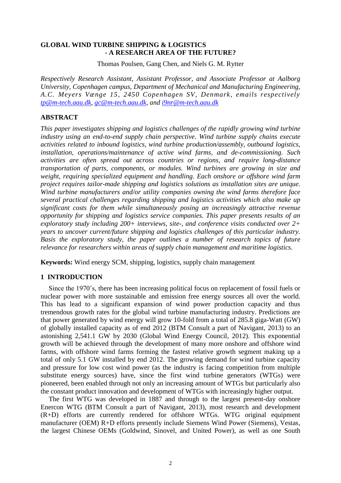## **GLOBAL WIND TURBINE SHIPPING & LOGISTICS - A RESEARCH AREA OF THE FUTURE?**

Thomas Poulsen, Gang Chen, and Niels G. M. Rytter

*Respectively Research Assistant, Assistant Professor, and Associate Professor at Aalborg University, Copenhagen campus, Department of Mechanical and Manufacturing Engineering, A.C. Meyers Vænge 15, 2450 Copenhagen SV, Denmark, emails respectively [tp@m-tech.aau.dk,](mailto:tp@m-tech.aau.dk) [gc@m-tech.aau.dk,](mailto:gc@m-tech.aau.dk) and [i9nr@m-tech.aau.dk](mailto:i9nr@m-tech.aau.dk)*

## **ABSTRACT**

*This paper investigates shipping and logistics challenges of the rapidly growing wind turbine industry using an end-to-end supply chain perspective. Wind turbine supply chains execute activities related to inbound logistics, wind turbine production/assembly, outbound logistics, installation, operations/maintenance of active wind farms, and de-commissioning. Such activities are often spread out across countries or regions, and require long-distance transportation of parts, components, or modules. Wind turbines are growing in size and weight, requiring specialized equipment and handling. Each onshore or offshore wind farm project requires tailor-made shipping and logistics solutions as installation sites are unique. Wind turbine manufacturers and/or utility companies owning the wind farms therefore face several practical challenges regarding shipping and logistics activities which also make up significant costs for them while simultaneously posing an increasingly attractive revenue opportunity for shipping and logistics service companies. This paper presents results of an exploratory study including 200+ interviews, site-, and conference visits conducted over 2+ years to uncover current/future shipping and logistics challenges of this particular industry. Basis the exploratory study, the paper outlines a number of research topics of future relevance for researchers within areas of supply chain management and maritime logistics*.

**Keywords:** Wind energy SCM, shipping, logistics, supply chain management

### **1 INTRODUCTION**

Since the 1970's, there has been increasing political focus on replacement of fossil fuels or nuclear power with more sustainable and emission free energy sources all over the world. This has lead to a significant expansion of wind power production capacity and thus tremendous growth rates for the global wind turbine manufacturing industry. Predictions are that power generated by wind energy will grow 10-fold from a total of 285.8 giga-Watt (GW) of globally installed capacity as of end 2012 (BTM Consult a part of Navigant, 2013) to an astonishing 2,541.1 GW by 2030 (Global Wind Energy Council, 2012). This exponential growth will be achieved through the development of many more onshore and offshore wind farms, with offshore wind farms forming the fastest relative growth segment making up a total of only 5.1 GW installed by end 2012. The growing demand for wind turbine capacity and pressure for low cost wind power (as the industry is facing competition from multiple substitute energy sources) have, since the first wind turbine generators (WTGs) were pioneered, been enabled through not only an increasing amount of WTGs but particularly also the constant product innovation and development of WTGs with increasingly higher output.

The first WTG was developed in 1887 and through to the largest present-day onshore Enercon WTG (BTM Consult a part of Navigant, 2013), most research and development (R+D) efforts are currently rendered for offshore WTGs. WTG original equipment manufacturer (OEM) R+D efforts presently include Siemens Wind Power (Siemens), Vestas, the largest Chinese OEMs (Goldwind, Sinovel, and United Power), as well as one South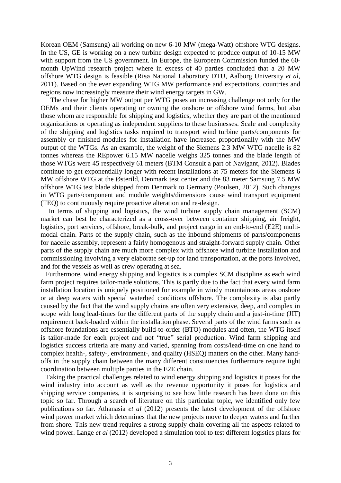Korean OEM (Samsung) all working on new 6-10 MW (mega-Watt) offshore WTG designs. In the US, GE is working on a new turbine design expected to produce output of 10-15 MW with support from the US government. In Europe, the European Commission funded the 60month UpWind research project where in excess of 40 parties concluded that a 20 MW offshore WTG design is feasible (Risø National Laboratory DTU, Aalborg University *et al*, 2011). Based on the ever expanding WTG MW performance and expectations, countries and regions now increasingly measure their wind energy targets in GW.

The chase for higher MW output per WTG poses an increasing challenge not only for the OEMs and their clients operating or owning the onshore or offshore wind farms, but also those whom are responsible for shipping and logistics, whether they are part of the mentioned organizations or operating as independent suppliers to these businesses. Scale and complexity of the shipping and logistics tasks required to transport wind turbine parts/components for assembly or finished modules for installation have increased proportionally with the MW output of the WTGs. As an example, the weight of the Siemens 2.3 MW WTG nacelle is 82 tonnes whereas the REpower 6.15 MW nacelle weighs 325 tonnes and the blade length of those WTGs were 45 respectively 61 meters (BTM Consult a part of Navigant, 2012). Blades continue to get exponentially longer with recent installations at 75 meters for the Siemens 6 MW offshore WTG at the Østerild, Denmark test center and the 83 meter Samsung 7.5 MW offshore WTG test blade shipped from Denmark to Germany (Poulsen, 2012). Such changes in WTG parts/component and module weights/dimensions cause wind transport equipment (TEQ) to continuously require proactive alteration and re-design.

In terms of shipping and logistics, the wind turbine supply chain management (SCM) market can best be characterized as a cross-over between container shipping, air freight, logistics, port services, offshore, break-bulk, and project cargo in an end-to-end (E2E) multimodal chain. Parts of the supply chain, such as the inbound shipments of parts/components for nacelle assembly, represent a fairly homogenous and straight-forward supply chain. Other parts of the supply chain are much more complex with offshore wind turbine installation and commissioning involving a very elaborate set-up for land transportation, at the ports involved, and for the vessels as well as crew operating at sea.

 Furthermore, wind energy shipping and logistics is a complex SCM discipline as each wind farm project requires tailor-made solutions. This is partly due to the fact that every wind farm installation location is uniquely positioned for example in windy mountainous areas onshore or at deep waters with special waterbed conditions offshore. The complexity is also partly caused by the fact that the wind supply chains are often very extensive, deep, and complex in scope with long lead-times for the different parts of the supply chain and a just-in-time (JIT) requirement back-loaded within the installation phase. Several parts of the wind farms such as offshore foundations are essentially build-to-order (BTO) modules and often, the WTG itself is tailor-made for each project and not "true" serial production. Wind farm shipping and logistics success criteria are many and varied, spanning from costs/lead-time on one hand to complex health-, safety-, environment-, and quality (HSEQ) matters on the other. Many handoffs in the supply chain between the many different constituencies furthermore require tight coordination between multiple parties in the E2E chain.

 Taking the practical challenges related to wind energy shipping and logistics it poses for the wind industry into account as well as the revenue opportunity it poses for logistics and shipping service companies, it is surprising to see how little research has been done on this topic so far. Through a search of literature on this particular topic, we identified only few publications so far. Athanasia *et al* (2012) presents the latest development of the offshore wind power market which determines that the new projects move to deeper waters and further from shore. This new trend requires a strong supply chain covering all the aspects related to wind power. Lange *et al* (2012) developed a simulation tool to test different logistics plans for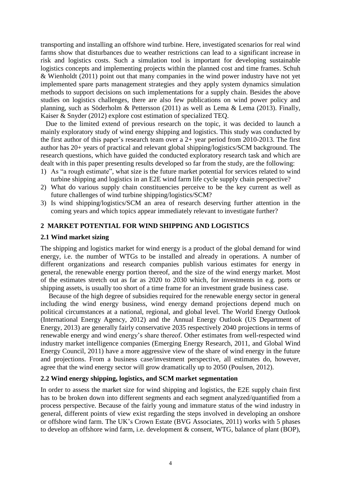transporting and installing an offshore wind turbine. Here, investigated scenarios for real wind farms show that disturbances due to weather restrictions can lead to a significant increase in risk and logistics costs. Such a simulation tool is important for developing sustainable logistics concepts and implementing projects within the planned cost and time frames. Schuh & Wienholdt (2011) point out that many companies in the wind power industry have not yet implemented spare parts management strategies and they apply system dynamics simulation methods to support decisions on such implementations for a supply chain. Besides the above studies on logistics challenges, there are also few publications on wind power policy and planning, such as Söderholm & Pettersson (2011) as well as Lema & Lema (2013). Finally, Kaiser & Snyder (2012) explore cost estimation of specialized TEQ.

 Due to the limited extend of previous research on the topic, it was decided to launch a mainly exploratory study of wind energy shipping and logistics. This study was conducted by the first author of this paper's research team over a  $2+$  year period from 2010-2013. The first author has 20+ years of practical and relevant global shipping/logistics/SCM background. The research questions, which have guided the conducted exploratory research task and which are dealt with in this paper presenting results developed so far from the study, are the following:

- 1) As "a rough estimate", what size is the future market potential for services related to wind turbine shipping and logistics in an E2E wind farm life cycle supply chain perspective?
- 2) What do various supply chain constituencies perceive to be the key current as well as future challenges of wind turbine shipping/logistics/SCM?
- 3) Is wind shipping/logistics/SCM an area of research deserving further attention in the coming years and which topics appear immediately relevant to investigate further?

### **2 MARKET POTENTIAL FOR WIND SHIPPING AND LOGISTICS**

#### **2.1 Wind market sizing**

The shipping and logistics market for wind energy is a product of the global demand for wind energy, i.e. the number of WTGs to be installed and already in operations. A number of different organizations and research companies publish various estimates for energy in general, the renewable energy portion thereof, and the size of the wind energy market. Most of the estimates stretch out as far as 2020 to 2030 which, for investments in e.g. ports or shipping assets, is usually too short of a time frame for an investment grade business case.

Because of the high degree of subsidies required for the renewable energy sector in general including the wind energy business, wind energy demand projections depend much on political circumstances at a national, regional, and global level. The World Energy Outlook (International Energy Agency, 2012) and the Annual Energy Outlook (US Department of Energy, 2013) are generally fairly conservative 2035 respectively 2040 projections in terms of renewable energy and wind energy's share thereof. Other estimates from well-respected wind industry market intelligence companies (Emerging Energy Research, 2011, and Global Wind Energy Council, 2011) have a more aggressive view of the share of wind energy in the future and projections. From a business case/investment perspective, all estimates do, however, agree that the wind energy sector will grow dramatically up to 2050 (Poulsen, 2012).

### **2.2 Wind energy shipping, logistics, and SCM market segmentation**

In order to assess the market size for wind shipping and logistics, the E2E supply chain first has to be broken down into different segments and each segment analyzed/quantified from a process perspective. Because of the fairly young and immature status of the wind industry in general, different points of view exist regarding the steps involved in developing an onshore or offshore wind farm. The UK's Crown Estate (BVG Associates, 2011) works with 5 phases to develop an offshore wind farm, i.e. development & consent, WTG, balance of plant (BOP),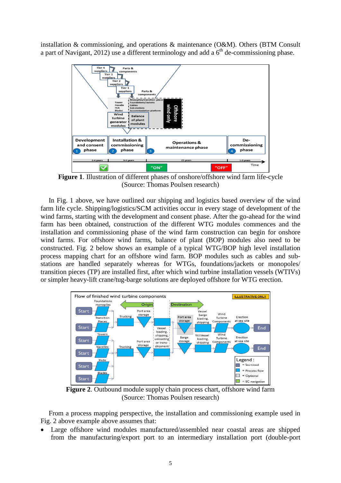installation & commissioning, and operations & maintenance (O&M). Others (BTM Consult a part of Navigant, 2012) use a different terminology and add a  $6<sup>th</sup>$  de-commissioning phase.



**Figure 1**. Illustration of different phases of onshore/offshore wind farm life-cycle (Source: Thomas Poulsen research)

In Fig. 1 above, we have outlined our shipping and logistics based overview of the wind farm life cycle. Shipping/logistics/SCM activities occur in every stage of development of the wind farms, starting with the development and consent phase. After the go-ahead for the wind farm has been obtained, construction of the different WTG modules commences and the installation and commissioning phase of the wind farm construction can begin for onshore wind farms. For offshore wind farms, balance of plant (BOP) modules also need to be constructed. Fig. 2 below shows an example of a typical WTG/BOP high level installation process mapping chart for an offshore wind farm. BOP modules such as cables and substations are handled separately whereas for WTGs, foundations/jackets or monopoles/ transition pieces (TP) are installed first, after which wind turbine installation vessels (WTIVs) or simpler heavy-lift crane/tug-barge solutions are deployed offshore for WTG erection.



**Figure 2**. Outbound module supply chain process chart, offshore wind farm (Source: Thomas Poulsen research)

From a process mapping perspective, the installation and commissioning example used in Fig. 2 above example above assumes that:

 Large offshore wind modules manufactured/assembled near coastal areas are shipped from the manufacturing/export port to an intermediary installation port (double-port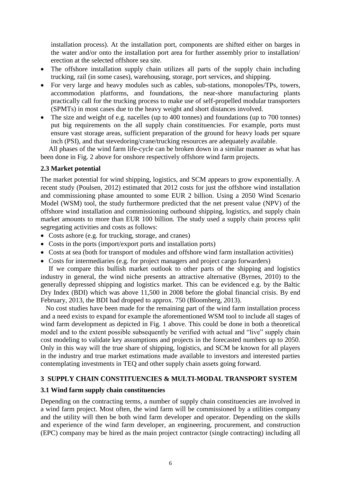installation process). At the installation port, components are shifted either on barges in the water and/or onto the installation port area for further assembly prior to installation/ erection at the selected offshore sea site.

- The offshore installation supply chain utilizes all parts of the supply chain including trucking, rail (in some cases), warehousing, storage, port services, and shipping.
- For very large and heavy modules such as cables, sub-stations, monopoles/TPs, towers, accommodation platforms, and foundations, the near-shore manufacturing plants practically call for the trucking process to make use of self-propelled modular transporters (SPMTs) in most cases due to the heavy weight and short distances involved.
- The size and weight of e.g. nacelles (up to 400 tonnes) and foundations (up to 700 tonnes) put big requirements on the all supply chain constituencies. For example, ports must ensure vast storage areas, sufficient preparation of the ground for heavy loads per square inch (PSI), and that stevedoring/crane/trucking resources are adequately available.

All phases of the wind farm life-cycle can be broken down in a similar manner as what has been done in Fig. 2 above for onshore respectively offshore wind farm projects.

# **2.3 Market potential**

The market potential for wind shipping, logistics, and SCM appears to grow exponentially. A recent study (Poulsen, 2012) estimated that 2012 costs for just the offshore wind installation and commissioning phase amounted to some EUR 2 billion. Using a 2050 Wind Scenario Model (WSM) tool, the study furthermore predicted that the net present value (NPV) of the offshore wind installation and commissioning outbound shipping, logistics, and supply chain market amounts to more than EUR 100 billion. The study used a supply chain process split segregating activities and costs as follows:

- Costs ashore (e.g. for trucking, storage, and cranes)
- Costs in the ports (import/export ports and installation ports)
- Costs at sea (both for transport of modules and offshore wind farm installation activities)
- Costs for intermediaries (e.g. for project managers and project cargo forwarders)

If we compare this bullish market outlook to other parts of the shipping and logistics industry in general, the wind niche presents an attractive alternative (Byrnes, 2010) to the generally depressed shipping and logistics market. This can be evidenced e.g. by the Baltic Dry Index (BDI) which was above 11,500 in 2008 before the global financial crisis. By end February, 2013, the BDI had dropped to approx. 750 (Bloomberg, 2013).

 No cost studies have been made for the remaining part of the wind farm installation process and a need exists to expand for example the aforementioned WSM tool to include all stages of wind farm development as depicted in Fig. 1 above. This could be done in both a theoretical model and to the extent possible subsequently be verified with actual and "live" supply chain cost modeling to validate key assumptions and projects in the forecasted numbers up to 2050. Only in this way will the true share of shipping, logistics, and SCM be known for all players in the industry and true market estimations made available to investors and interested parties contemplating investments in TEQ and other supply chain assets going forward.

# **3 SUPPLY CHAIN CONSTITUENCIES & MULTI-MODAL TRANSPORT SYSTEM**

### **3.1 Wind farm supply chain constituencies**

Depending on the contracting terms, a number of supply chain constituencies are involved in a wind farm project. Most often, the wind farm will be commissioned by a utilities company and the utility will then be both wind farm developer and operator. Depending on the skills and experience of the wind farm developer, an engineering, procurement, and construction (EPC) company may be hired as the main project contractor (single contracting) including all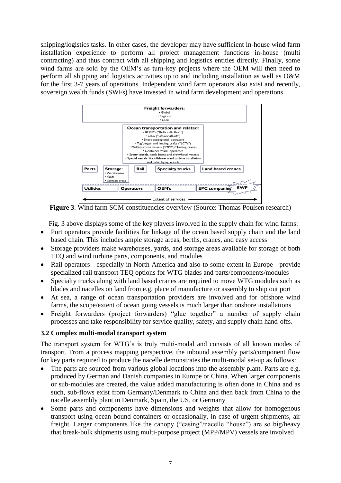shipping/logistics tasks. In other cases, the developer may have sufficient in-house wind farm installation experience to perform all project management functions in-house (multi contracting) and thus contract with all shipping and logistics entities directly. Finally, some wind farms are sold by the OEM's as turn-key projects where the OEM will then need to perform all shipping and logistics activities up to and including installation as well as O&M for the first 3-7 years of operations. Independent wind farm operators also exist and recently, sovereign wealth funds (SWFs) have invested in wind farm development and operations.



**Figure 3**. Wind farm SCM constituencies overview (Source: Thomas Poulsen research)

Fig. 3 above displays some of the key players involved in the supply chain for wind farms:

- Port operators provide facilities for linkage of the ocean based supply chain and the land based chain. This includes ample storage areas, berths, cranes, and easy access
- Storage providers make warehouses, yards, and storage areas available for storage of both TEQ and wind turbine parts, components, and modules
- Rail operators especially in North America and also to some extent in Europe provide specialized rail transport TEQ options for WTG blades and parts/components/modules
- Specialty trucks along with land based cranes are required to move WTG modules such as blades and nacelles on land from e.g. place of manufacture or assembly to ship out port
- At sea, a range of ocean transportation providers are involved and for offshore wind farms, the scope/extent of ocean going vessels is much larger than onshore installations
- Freight forwarders (project forwarders) "glue together" a number of supply chain processes and take responsibility for service quality, safety, and supply chain hand-offs.

# **3.2 Complex multi-modal transport system**

The transport system for WTG's is truly multi-modal and consists of all known modes of transport. From a process mapping perspective, the inbound assembly parts/component flow for key parts required to produce the nacelle demonstrates the multi-modal set-up as follows:

- The parts are sourced from various global locations into the assembly plant. Parts are e.g. produced by German and Danish companies in Europe or China. When larger components or sub-modules are created, the value added manufacturing is often done in China and as such, sub-flows exist from Germany/Denmark to China and then back from China to the nacelle assembly plant in Denmark, Spain, the US, or Germany
- Some parts and components have dimensions and weights that allow for homogenous transport using ocean bound containers or occasionally, in case of urgent shipments, air freight. Larger components like the canopy ("casing"/nacelle "house") are so big/heavy that break-bulk shipments using multi-purpose project (MPP/MPV) vessels are involved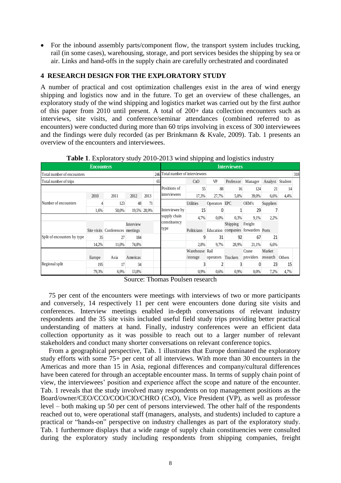• For the inbound assembly parts/component flow, the transport system includes trucking, rail (in some cases), warehousing, storage, and port services besides the shipping by sea or air. Links and hand-offs in the supply chain are carefully orchestrated and coordinated

## **4 RESEARCH DESIGN FOR THE EXPLORATORY STUDY**

A number of practical and cost optimization challenges exist in the area of wind energy shipping and logistics now and in the future. To get an overview of these challenges, an exploratory study of the wind shipping and logistics market was carried out by the first author of this paper from 2010 until present. A total of 200+ data collection encounters such as interviews, site visits, and conference/seminar attendances (combined referred to as encounters) were conducted during more than 60 trips involving in excess of 300 interviewees and the findings were duly recorded (as per Brinkmann & Kvale, 2009). Tab. 1 presents an overview of the encounters and interviewees.

|                             | <b>Encounters</b> |                                  |           |             |     |                              |                |               | <b>Interviewees</b> |                                      |                 |        |     |
|-----------------------------|-------------------|----------------------------------|-----------|-------------|-----|------------------------------|----------------|---------------|---------------------|--------------------------------------|-----------------|--------|-----|
| Total number of encounters  |                   |                                  |           |             | 246 | Total number of interviewees |                |               |                     |                                      |                 |        | 318 |
| Total number of trips       |                   |                                  |           |             | 65  |                              | CxO            | VP            | Professor           | Manager                              | Analyst Student |        |     |
|                             |                   |                                  |           |             |     | Positions of                 | 55             | 88            | 16                  | 124                                  | 21              | 14     |     |
|                             | 2010              | 2011                             | 2012      | 2013        |     | interviewees                 | 17,3%          | 27,7%         | 5,0%                | 39,0%                                | 6,6%            | 4,4%   |     |
| Number of encounters        |                   | 123                              | 48        | 71          |     |                              | Utilities      | Operators EPC |                     | OEM's                                | Suppliers       |        |     |
|                             | 1.6%              | 50,0%                            |           | 19,5% 28,9% |     | Interviewee by               | 15             |               |                     | 29                                   |                 |        |     |
|                             |                   |                                  |           |             |     | supply chain                 | 4,7%           | $0.0\%$       | 0,3%                | 9,1%                                 | 2,2%            |        |     |
|                             |                   |                                  | Interview |             |     | constituency                 |                |               | Shipping            | Freight                              |                 |        |     |
|                             |                   | Site visits Conferences meetings |           |             |     | type                         | Politicians    |               |                     | Education companies forwarders Ports |                 |        |     |
| Split of encounters by type | 35                | 27                               | 184       |             |     |                              |                | 31            | 92                  | 67                                   | 21              |        |     |
|                             | 14,2%             | 11,0%                            | 74,8%     |             |     |                              | 2,8%           | 9,7%          | 28,9%               | 21,1%                                | 6,6%            |        |     |
|                             |                   |                                  |           |             |     |                              | Warehouse Rail |               |                     | Crane                                | Market          |        |     |
|                             | Europe            | Asia                             | Americas  |             |     |                              | /storage       | operators     | Truckers            | providers                            | research        | Others |     |
| Regional split              | 195               | 17                               | 34        |             |     |                              |                |               |                     |                                      | 23              | 15     |     |
|                             | 79,3%             | 6,9%                             | 13,8%     |             |     |                              | 0.9%           | 0.6%          | 0.9%                | $0.0\%$                              | 7,2%            | 4,7%   |     |

**Table 1**. Exploratory study 2010-2013 wind shipping and logistics industry

Source: Thomas Poulsen research

75 per cent of the encounters were meetings with interviews of two or more participants and conversely, 14 respectively 11 per cent were encounters done during site visits and conferences. Interview meetings enabled in-depth conversations of relevant industry respondents and the 35 site visits included useful field study trips providing better practical understanding of matters at hand. Finally, industry conferences were an efficient data collection opportunity as it was possible to reach out to a larger number of relevant stakeholders and conduct many shorter conversations on relevant conference topics.

From a geographical perspective, Tab. 1 illustrates that Europe dominated the exploratory study efforts with some 75+ per cent of all interviews. With more than 30 encounters in the Americas and more than 15 in Asia, regional differences and company/cultural differences have been catered for through an acceptable encounter mass. In terms of supply chain point of view, the interviewees' position and experience affect the scope and nature of the encounter. Tab. 1 reveals that the study involved many respondents on top management positions as the Board/owner/CEO/CCO/COO/CIO/CHRO (CxO), Vice President (VP), as well as professor level – both making up 50 per cent of persons interviewed. The other half of the respondents reached out to, were operational staff (managers, analysts, and students) included to capture a practical or "hands-on" perspective on industry challenges as part of the exploratory study. Tab. 1 furthermore displays that a wide range of supply chain constituencies were consulted during the exploratory study including respondents from shipping companies, freight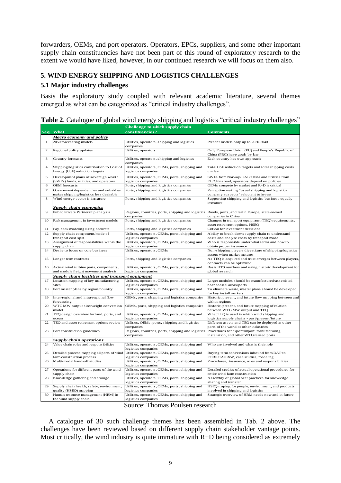forwarders, OEMs, and port operators. Operators, EPCs, suppliers, and some other important supply chain constituencies have not been part of this round of exploratory research to the extent we would have liked, however, in our continued research we will focus on them also.

# **5. WIND ENERGY SHIPPING AND LOGISTICS CHALLENGES**

### **5.1 Major industry challenges**

Basis the exploratory study coupled with relevant academic literature, several themes emerged as what can be categorized as "critical industry challenges".

|                |                                                                                  | Challenge to which supply chain                                                                              |                                                                                               |
|----------------|----------------------------------------------------------------------------------|--------------------------------------------------------------------------------------------------------------|-----------------------------------------------------------------------------------------------|
|                | Seq. What                                                                        | constituencies?                                                                                              | <b>Comments</b>                                                                               |
|                | <b>Macro economy and policy</b>                                                  |                                                                                                              |                                                                                               |
| $\mathbf{1}$   | 2050 forecasting models                                                          | Utilities, operators, shipping and logistics<br>companies                                                    | Present models only up to 2030-2040                                                           |
| $\overline{2}$ | Regional policy updates                                                          | Utilities, operators                                                                                         | Only European Union (EU) and People's Republic of<br>China (PRC) have goals by law            |
| 3              | Country forecasts                                                                | Utilities, operators, shipping and logistics<br>companies                                                    | Each country has own approach                                                                 |
| $\overline{4}$ | Shipping/logistics contribution to Cost of<br>Energy (CoE) reduction targets     | Utilities, operators, OEMs, ports, shipping and<br>logistics companies                                       | Total CoE reduction targets and total shipping costs<br>unclear                               |
| 5              | Development plans of sovereign wealth<br>(SWFs) funds, utilities, and operators  | Utilities, operators, OEMs, ports, shipping and<br>logistics companies                                       | SWFs from Norway/UAE/China and utilities from<br>EU/China lead, operators depend on policies  |
| 6              | OEM forecasts                                                                    | Ports, shipping and logistics companies                                                                      | OEMs compete by market and R+D is critical                                                    |
| 7              | Government dependencies and subsidies<br>makes shipping/logistics less desirable | Ports, shipping and logistics companies                                                                      | Perception making "usual shipping and logistics<br>company suspects" reluctant to invest      |
| 8              | Wind energy sector is immature                                                   | Ports, shipping and logistics companies                                                                      | Supporting shipping and logistics business equally<br>immature                                |
|                | <b>Supply chain economics</b>                                                    |                                                                                                              |                                                                                               |
| 9              | Public Private Partnership analysis                                              | Regions, countries, ports, shipping and logistics Roads, ports, and rail in Europe; state-owned<br>companies | companies in China                                                                            |
| 10             | Risk management in investment models                                             | Ports, shipping and logistics companies                                                                      | Changes in transport equipment (TEQ) requirements,<br>asset retirement options, HSEQ          |
| 11             | Pay-back modeling using accurate                                                 | Ports, shipping and logistics companies                                                                      | Critical for investment decisions                                                             |
| 12             | Supply chain component/mode of<br>transport cost split                           | Utilities, operators, OEMs, ports, shipping and<br>logistics companies                                       | Ability to break-down supply chain to understand<br>costs and analyze costs by transport mode |
| 13             | Assignment of responsibilities within the<br>supply chain                        | Utilities, operators, OEMs, ports, shipping and<br>logistics companies                                       | Who is responsible under what terms and how to<br>obtain proper insurance                     |
| 14             | Desire to focus on core business                                                 | Utilities, operators, OEMs                                                                                   | Non-shipping players divestiture of shipping/logistics<br>assets when market matures          |
| 15             | Longer term contracts                                                            | Ports, shipping and logistics companies                                                                      | As TEQ is acquired and trust emerges between players,<br>contracts can be optimized           |
| 16             | Actual wind turbine parts, components,<br>and module freight movement analysis   | Utilities, operators, OEMs, ports, shipping and<br>logistics companies                                       | Basis HTS numbers and using historic development for<br>global research                       |
|                | Supply chain facilities and transport equipment                                  |                                                                                                              |                                                                                               |
| 17             | Location mapping of key manufacturing                                            | Utilities, operators, OEMs, ports, shipping and                                                              | Larger modules should be manufactured/assembled                                               |
|                | sites                                                                            | logistics companies                                                                                          | near coastal areas/ports                                                                      |
| 18             | Port master plans by region/country                                              | Utilities, operators, OEMs, ports, shipping and<br>logistics companies                                       | To eliminate waste, master plans should be developed<br>for key install markets               |
| 19             | Inter-regional and intra-regional flow<br>forecasting                            | OEMs, ports, shipping and logistics companies                                                                | Historic, present, and future flow mapping between and<br>within regions                      |
| 20             | WTGMW output size/weight conversion<br>model                                     | OEMs, ports, shipping and logistics companies                                                                | Historic, present, and future mapping of relation<br>between WTGMW output and TEO             |
| 21             | TEQ design overview for land, ports, and<br>ocean                                | Utilities, operators, OEMs, ports, shipping and<br>logistics companies                                       | What TEQ is used in which wind shipping and<br>logistics supply chains - past/present/future  |
| 22             | TEQ and asset retirement options review                                          | Utilities, OEMs, ports, shipping and logistics<br>companies                                                  | Different assets and TEQ can be deployed in other<br>parts of the world or other industries   |
| 23             | Port construction guidelines                                                     | Regions, countries, ports, shipping and logistics<br>companies                                               | Procedures for export/import, manufacturing,<br>installation, and other WTG related ports     |
|                | <b>Supply chain operations</b>                                                   |                                                                                                              |                                                                                               |
| 24             | Value chain roles and responsibilities                                           | Utilities, operators, OEMs, ports, shipping and<br>logistics companies                                       | Who are involved and what is their role                                                       |
| 25             | Detailed process mapping all parts of wind<br>farm construction process          | Utilities, operators, OEMs, ports, shipping and<br>logistics companies                                       | Buying term conversions inbound from DAP to<br>FOB/FCA/EXW, case studies, modeling            |
| 26             | Multi-modal hand-off studies                                                     | Utilities, operators, OEMs, ports, shipping and<br>logistics companies                                       | Procedures, insurance, roles and responsibilities                                             |
| 27             | Operations for different parts of the wind<br>supply chain                       | Utilities, operators, OEMs, ports, shipping and<br>logistics companies                                       | Detailed studies of actual operational procedures for<br>entire wind farm construction        |
| 28             | Knowledge gathering and storage                                                  | Utilities, operators, OEMs, ports, shipping and<br>logistics companies                                       | Assembly of global best practices for knowledge<br>sharing and transfer                       |
| 29             | Supply chain health, safety, environment,                                        | Utilities, operators, OEMs, ports, shipping and<br>logistics companies                                       | HSEQ maping for people, environment, and products<br>involved in shipping and logistics       |
| 30             | quality (HSEQ) mapping<br>Human resource management (HRM) in                     | Utilities, operators, OEMs, ports, shipping and                                                              | Strategic overview of HRM needs now and in future                                             |
|                | the wind supply chain                                                            | logistics companies                                                                                          |                                                                                               |

| Table 2. Catalogue of global wind energy shipping and logistics "critical industry challenges" |
|------------------------------------------------------------------------------------------------|
|------------------------------------------------------------------------------------------------|

Source: Thomas Poulsen research

A catalogue of 30 such challenge themes has been assembled in Tab. 2 above. The challenges have been reviewed based on different supply chain stakeholder vantage points. Most critically, the wind industry is quite immature with  $R+D$  being considered as extremely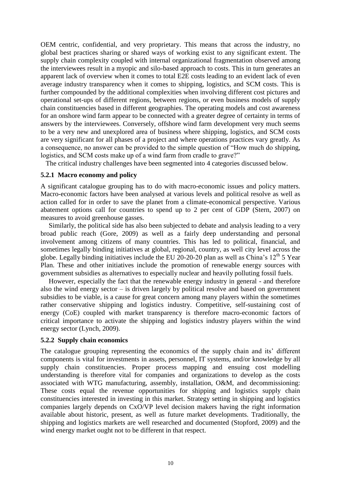OEM centric, confidential, and very proprietary. This means that across the industry, no global best practices sharing or shared ways of working exist to any significant extent. The supply chain complexity coupled with internal organizational fragmentation observed among the interviewees result in a myopic and silo-based approach to costs. This in turn generates an apparent lack of overview when it comes to total E2E costs leading to an evident lack of even average industry transparency when it comes to shipping, logistics, and SCM costs. This is further compounded by the additional complexities when involving different cost pictures and operational set-ups of different regions, between regions, or even business models of supply chain constituencies based in different geographies. The operating models and cost awareness for an onshore wind farm appear to be connected with a greater degree of certainty in terms of answers by the interviewees. Conversely, offshore wind farm development very much seems to be a very new and unexplored area of business where shipping, logistics, and SCM costs are very significant for all phases of a project and where operations practices vary greatly. As a consequence, no answer can be provided to the simple question of "How much do shipping, logistics, and SCM costs make up of a wind farm from cradle to grave?"

The critical industry challenges have been segmented into 4 categories discussed below.

### **5.2.1 Macro economy and policy**

A significant catalogue grouping has to do with macro-economic issues and policy matters. Macro-economic factors have been analysed at various levels and political resolve as well as action called for in order to save the planet from a climate-economical perspective. Various abatement options call for countries to spend up to 2 per cent of GDP (Stern, 2007) on measures to avoid greenhouse gasses.

Similarly, the political side has also been subjected to debate and analysis leading to a very broad public reach (Gore, 2009) as well as a fairly deep understanding and personal involvement among citizens of many countries. This has led to political, financial, and sometimes legally binding initiatives at global, regional, country, as well city level across the globe. Legally binding initiatives include the EU 20-20-20 plan as well as China's  $12<sup>th</sup> 5$  Year Plan. These and other initiatives include the promotion of renewable energy sources with government subsidies as alternatives to especially nuclear and heavily polluting fossil fuels.

However, especially the fact that the renewable energy industry in general - and therefore also the wind energy sector  $-$  is driven largely by political resolve and based on government subsidies to be viable, is a cause for great concern among many players within the sometimes rather conservative shipping and logistics industry. Competitive, self-sustaining cost of energy (CoE) coupled with market transparency is therefore macro-economic factors of critical importance to activate the shipping and logistics industry players within the wind energy sector (Lynch, 2009).

### **5.2.2 Supply chain economics**

The catalogue grouping representing the economics of the supply chain and its' different components is vital for investments in assets, personnel, IT systems, and/or knowledge by all supply chain constituencies. Proper process mapping and ensuing cost modelling understanding is therefore vital for companies and organizations to develop as the costs associated with WTG manufacturing, assembly, installation, O&M, and decommissioning: These costs equal the revenue opportunities for shipping and logistics supply chain constituencies interested in investing in this market. Strategy setting in shipping and logistics companies largely depends on CxO/VP level decision makers having the right information available about historic, present, as well as future market developments. Traditionally, the shipping and logistics markets are well researched and documented (Stopford, 2009) and the wind energy market ought not to be different in that respect.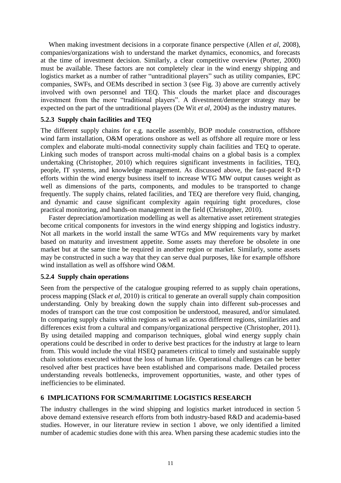When making investment decisions in a corporate finance perspective (Allen *et al*, 2008), companies/organizations wish to understand the market dynamics, economics, and forecasts at the time of investment decision. Similarly, a clear competitive overview (Porter, 2000) must be available. These factors are not completely clear in the wind energy shipping and logistics market as a number of rather "untraditional players" such as utility companies, EPC companies, SWFs, and OEMs described in section 3 (see Fig. 3) above are currently actively involved with own personnel and TEQ. This clouds the market place and discourages investment from the more "traditional players". A divestment/demerger strategy may be expected on the part of the untraditional players (De Wit *et al*, 2004) as the industry matures.

## **5.2.3 Supply chain facilities and TEQ**

The different supply chains for e.g. nacelle assembly, BOP module construction, offshore wind farm installation, O&M operations onshore as well as offshore all require more or less complex and elaborate multi-modal connectivity supply chain facilities and TEQ to operate. Linking such modes of transport across multi-modal chains on a global basis is a complex undertaking (Christopher, 2010) which requires significant investments in facilities, TEQ, people, IT systems, and knowledge management. As discussed above, the fast-paced R+D efforts within the wind energy business itself to increase WTG MW output causes weight as well as dimensions of the parts, components, and modules to be transported to change frequently. The supply chains, related facilities, and TEQ are therefore very fluid, changing, and dynamic and cause significant complexity again requiring tight procedures, close practical monitoring, and hands-on management in the field (Christopher, 2010).

Faster depreciation/amortization modelling as well as alternative asset retirement strategies become critical components for investors in the wind energy shipping and logistics industry. Not all markets in the world install the same WTGs and MW requirements vary by market based on maturity and investment appetite. Some assets may therefore be obsolete in one market but at the same time be required in another region or market. Similarly, some assets may be constructed in such a way that they can serve dual purposes, like for example offshore wind installation as well as offshore wind O&M.

### **5.2.4 Supply chain operations**

Seen from the perspective of the catalogue grouping referred to as supply chain operations, process mapping (Slack *et al*, 2010) is critical to generate an overall supply chain composition understanding. Only by breaking down the supply chain into different sub-processes and modes of transport can the true cost composition be understood, measured, and/or simulated. In comparing supply chains within regions as well as across different regions, similarities and differences exist from a cultural and company/organizational perspective (Christopher, 2011). By using detailed mapping and comparison techniques, global wind energy supply chain operations could be described in order to derive best practices for the industry at large to learn from. This would include the vital HSEQ parameters critical to timely and sustainable supply chain solutions executed without the loss of human life. Operational challenges can be better resolved after best practices have been established and comparisons made. Detailed process understanding reveals bottlenecks, improvement opportunities, waste, and other types of inefficiencies to be eliminated.

### **6 IMPLICATIONS FOR SCM/MARITIME LOGISTICS RESEARCH**

The industry challenges in the wind shipping and logistics market introduced in section 5 above demand extensive research efforts from both industry-based R&D and academia-based studies. However, in our literature review in section 1 above, we only identified a limited number of academic studies done with this area. When parsing these academic studies into the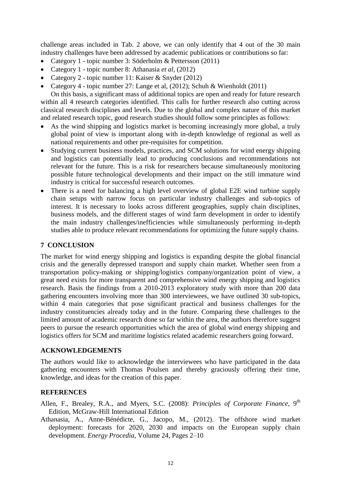challenge areas included in Tab. 2 above, we can only identify that 4 out of the 30 main industry challenges have been addressed by academic publications or contributions so far:

- Category 1 topic number 3: Söderholm & Pettersson (2011)
- Category 1 topic number 8: Athanasia *et al*, (2012)
- Category 2 topic number 11: Kaiser & Snyder (2012)
- Category 4 topic number 27: Lange et al, (2012); Schuh & Wienholdt (2011)

On this basis, a significant mass of additional topics are open and ready for future research within all 4 research categories identified. This calls for further research also cutting across classical research disciplines and levels. Due to the global and complex nature of this market and related research topic, good research studies should follow some principles as follows:

- As the wind shipping and logistics market is becoming increasingly more global, a truly global point of view is important along with in-depth knowledge of regional as well as national requirements and other pre-requisites for competition.
- Studying current business models, practices, and SCM solutions for wind energy shipping and logistics can potentially lead to producing conclusions and recommendations not relevant for the future. This is a risk for researchers because simultaneously monitoring possible future technological developments and their impact on the still immature wind industry is critical for successful research outcomes.
- There is a need for balancing a high level overview of global E2E wind turbine supply chain setups with narrow focus on particular industry challenges and sub-topics of interest. It is necessary to looks across different geographies, supply chain disciplines, business models, and the different stages of wind farm development in order to identify the main industry challenges/inefficiencies while simultaneously performing in-depth studies able to produce relevant recommendations for optimizing the future supply chains.

### **7 CONCLUSION**

The market for wind energy shipping and logistics is expanding despite the global financial crisis and the generally depressed transport and supply chain market. Whether seen from a transportation policy-making or shipping/logistics company/organization point of view, a great need exists for more transparent and comprehensive wind energy shipping and logistics research. Basis the findings from a 2010-2013 exploratory study with more than 200 data gathering encounters involving more than 300 interviewees, we have outlined 30 sub-topics, within 4 main categories that pose significant practical and business challenges for the industry constituencies already today and in the future. Comparing these challenges to the limited amount of academic research done so far within the area, the authors therefore suggest peers to pursue the research opportunities which the area of global wind energy shipping and logistics offers for SCM and maritime logistics related academic researchers going forward.

### **ACKNOWLEDGEMENTS**

The authors would like to acknowledge the interviewees who have participated in the data gathering encounters with Thomas Poulsen and thereby graciously offering their time, knowledge, and ideas for the creation of this paper.

# **REFERENCES**

- Allen, F., Brealey, R.A., and Myers, S.C. (2008): *Principles of Corporate Finance*, 9<sup>th</sup> Edition, McGraw-Hill International Edition
- Athanasia, A., Anne-Bénédicte, G., Jacopo, M., (2012). The offshore wind market deployment: forecasts for 2020, 2030 and impacts on the European supply chain development. *Energy Procedia*, Volume 24, Pages 2–10